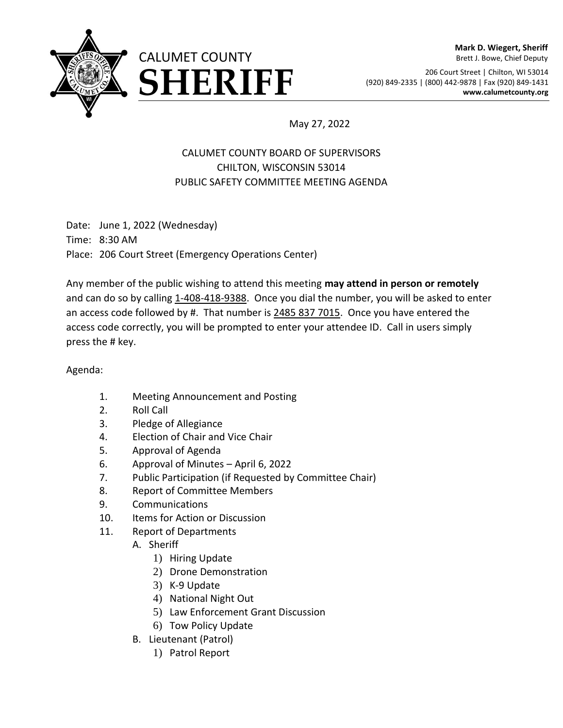

## **Mark D. Wiegert, Sheriff** Brett J. Bowe, Chief Deputy

206 Court Street | Chilton, WI 53014 ERIFF (920) 849-2335 | (800) 442-9878 | Fax (920) 849-1431<br>www.calumetcounty.org

May 27, 2022

## CALUMET COUNTY BOARD OF SUPERVISORS CHILTON, WISCONSIN 53014 PUBLIC SAFETY COMMITTEE MEETING AGENDA

Date: June 1, 2022 (Wednesday) Time: 8:30 AM Place: 206 Court Street (Emergency Operations Center)

Any member of the public wishing to attend this meeting **may attend in person or remotely**  and can do so by calling 1-408-418-9388. Once you dial the number, you will be asked to enter an access code followed by #. That number is 2485 837 7015. Once you have entered the access code correctly, you will be prompted to enter your attendee ID. Call in users simply press the # key.

## Agenda:

- 1. Meeting Announcement and Posting
- 2. Roll Call
- 3. Pledge of Allegiance
- 4. Election of Chair and Vice Chair
- 5. Approval of Agenda
- 6. Approval of Minutes April 6, 2022
- 7. Public Participation (if Requested by Committee Chair)
- 8. Report of Committee Members
- 9. Communications
- 10. Items for Action or Discussion
- 11. Report of Departments
	- A. Sheriff
		- 1) Hiring Update
		- 2) Drone Demonstration
		- 3) K-9 Update
		- 4) National Night Out
		- 5) Law Enforcement Grant Discussion
		- 6) Tow Policy Update
	- B. Lieutenant (Patrol)
		- 1) Patrol Report